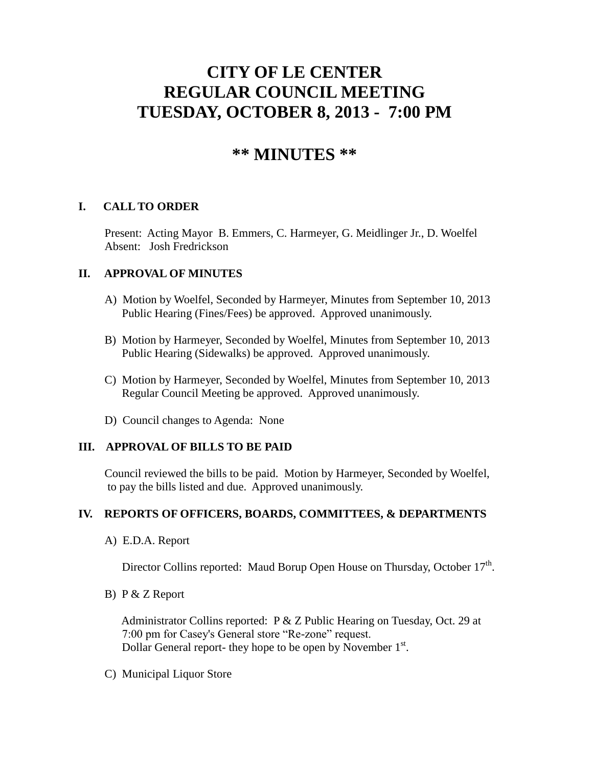# **CITY OF LE CENTER REGULAR COUNCIL MEETING TUESDAY, OCTOBER 8, 2013 - 7:00 PM**

# **\*\* MINUTES \*\***

# **I. CALL TO ORDER**

Present: Acting Mayor B. Emmers, C. Harmeyer, G. Meidlinger Jr., D. Woelfel Absent: Josh Fredrickson

# **II. APPROVAL OF MINUTES**

- A) Motion by Woelfel, Seconded by Harmeyer, Minutes from September 10, 2013 Public Hearing (Fines/Fees) be approved. Approved unanimously.
- B) Motion by Harmeyer, Seconded by Woelfel, Minutes from September 10, 2013 Public Hearing (Sidewalks) be approved. Approved unanimously.
- C) Motion by Harmeyer, Seconded by Woelfel, Minutes from September 10, 2013 Regular Council Meeting be approved. Approved unanimously.
- D) Council changes to Agenda: None

# **III. APPROVAL OF BILLS TO BE PAID**

Council reviewed the bills to be paid. Motion by Harmeyer, Seconded by Woelfel, to pay the bills listed and due. Approved unanimously.

# **IV. REPORTS OF OFFICERS, BOARDS, COMMITTEES, & DEPARTMENTS**

A) E.D.A. Report

Director Collins reported: Maud Borup Open House on Thursday, October  $17<sup>th</sup>$ .

B) P & Z Report

 Administrator Collins reported: P & Z Public Hearing on Tuesday, Oct. 29 at 7:00 pm for Casey's General store "Re-zone" request. Dollar General report- they hope to be open by November 1<sup>st</sup>.

C) Municipal Liquor Store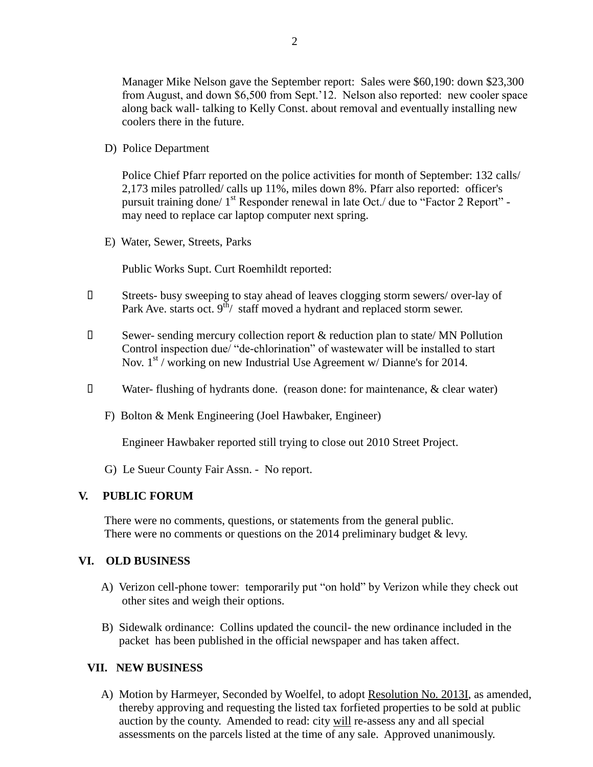Manager Mike Nelson gave the September report: Sales were \$60,190: down \$23,300 from August, and down \$6,500 from Sept.'12. Nelson also reported: new cooler space along back wall- talking to Kelly Const. about removal and eventually installing new coolers there in the future.

D) Police Department

Police Chief Pfarr reported on the police activities for month of September: 132 calls/ 2,173 miles patrolled/ calls up 11%, miles down 8%. Pfarr also reported: officer's pursuit training done/  $1<sup>st</sup>$  Responder renewal in late Oct./ due to "Factor 2 Report" may need to replace car laptop computer next spring.

E) Water, Sewer, Streets, Parks

Public Works Supt. Curt Roemhildt reported:

- Streets- busy sweeping to stay ahead of leaves clogging storm sewers/ over-lay of Park Ave. starts oct.  $9<sup>th</sup>$  staff moved a hydrant and replaced storm sewer.
- $\square$  Sewer- sending mercury collection report  $\&$  reduction plan to state/ MN Pollution Control inspection due/ "de-chlorination" of wastewater will be installed to start Nov.  $1<sup>st</sup>$  / working on new Industrial Use Agreement w/ Dianne's for 2014.
- Water- flushing of hydrants done. (reason done: for maintenance, & clear water)
	- F) Bolton & Menk Engineering (Joel Hawbaker, Engineer)

Engineer Hawbaker reported still trying to close out 2010 Street Project.

G) Le Sueur County Fair Assn. - No report.

#### **V. PUBLIC FORUM**

 There were no comments, questions, or statements from the general public. There were no comments or questions on the 2014 preliminary budget  $\&$  levy.

#### **VI. OLD BUSINESS**

- A) Verizon cell-phone tower: temporarily put "on hold" by Verizon while they check out other sites and weigh their options.
- B) Sidewalk ordinance: Collins updated the council- the new ordinance included in the packet has been published in the official newspaper and has taken affect.

# **VII. NEW BUSINESS**

 A) Motion by Harmeyer, Seconded by Woelfel, to adopt Resolution No. 2013I, as amended, thereby approving and requesting the listed tax forfieted properties to be sold at public auction by the county. Amended to read: city will re-assess any and all special assessments on the parcels listed at the time of any sale. Approved unanimously.